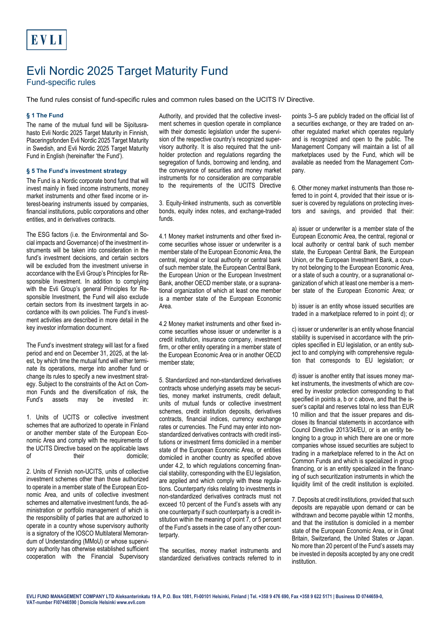# Evli Nordic 2025 Target Maturity Fund

Fund-specific rules

The fund rules consist of fund-specific rules and common rules based on the UCITS IV Directive.

# **§ 1 The Fund**

The name of the mutual fund will be Sijoitusrahasto Evli Nordic 2025 Target Maturity in Finnish, Placeringsfonden Evli Nordic 2025 Target Maturity in Swedish, and Evli Nordic 2025 Target Maturity Fund in English (hereinafter 'the Fund').

## **§ 5 The Fund's investment strategy**

The Fund is a Nordic corporate bond fund that will invest mainly in fixed income instruments, money market instruments and other fixed income or interest-bearing instruments issued by companies, financial institutions, public corporations and other entities, and in derivatives contracts.

The ESG factors (i.e. the Environmental and Social impacts and Governance) of the investment instruments will be taken into consideration in the fund's investment decisions, and certain sectors will be excluded from the investment universe in accordance with the Evli Group's Principles for Responsible Investment. In addition to complying with the Evli Group's general Principles for Responsible Investment, the Fund will also exclude certain sectors from its investment targets in accordance with its own policies. The Fund's investment activities are described in more detail in the key investor information document.

The Fund's investment strategy will last for a fixed period and end on December 31, 2025, at the latest, by which time the mutual fund will either terminate its operations, merge into another fund or change its rules to specify a new investment strategy. Subject to the constraints of the Act on Common Funds and the diversification of risk, the Fund's assets may be invested in:

1. Units of UCITS or collective investment schemes that are authorized to operate in Finland or another member state of the European Economic Area and comply with the requirements of the UCITS Directive based on the applicable laws of their domicile;

2. Units of Finnish non-UCITS, units of collective investment schemes other than those authorized to operate in a member state of the European Economic Area, and units of collective investment schemes and alternative investment funds, the administration or portfolio management of which is the responsibility of parties that are authorized to operate in a country whose supervisory authority is a signatory of the IOSCO Multilateral Memorandum of Understanding (MMoU) or whose supervisory authority has otherwise established sufficient cooperation with the Financial Supervisory Authority, and provided that the collective investment schemes in question operate in compliance with their domestic legislation under the supervision of the respective country's recognized supervisory authority. It is also required that the unitholder protection and regulations regarding the segregation of funds, borrowing and lending, and the conveyance of securities and money market instruments for no consideration are comparable to the requirements of the UCITS Directive

3. Equity-linked instruments, such as convertible bonds, equity index notes, and exchange-traded funds.

4.1 Money market instruments and other fixed income securities whose issuer or underwriter is a member state of the European Economic Area, the central, regional or local authority or central bank of such member state, the European Central Bank, the European Union or the European Investment Bank, another OECD member state, or a supranational organization of which at least one member is a member state of the European Economic Area.

4.2 Money market instruments and other fixed income securities whose issuer or underwriter is a credit institution, insurance company, investment firm, or other entity operating in a member state of the European Economic Area or in another OECD member state;

5. Standardized and non-standardized derivatives contracts whose underlying assets may be securities, money market instruments, credit default, units of mutual funds or collective investment schemes, credit institution deposits, derivatives contracts, financial indices, currency exchange rates or currencies. The Fund may enter into nonstandardized derivatives contracts with credit institutions or investment firms domiciled in a member state of the European Economic Area, or entities domiciled in another country as specified above under 4.2, to which regulations concerning financial stability, corresponding with the EU legislation, are applied and which comply with these regulations. Counterparty risks relating to investments in non-standardized derivatives contracts must not exceed 10 percent of the Fund's assets with any one counterparty if such counterparty is a credit institution within the meaning of point 7, or 5 percent of the Fund's assets in the case of any other counterparty.

The securities, money market instruments and standardized derivatives contracts referred to in points 3–5 are publicly traded on the official list of a securities exchange, or they are traded on another regulated market which operates regularly and is recognized and open to the public. The Management Company will maintain a list of all marketplaces used by the Fund, which will be available as needed from the Management Company.

6. Other money market instruments than those referred to in point 4, provided that their issue or issuer is covered by regulations on protecting investors and savings, and provided that their:

a) issuer or underwriter is a member state of the European Economic Area, the central, regional or local authority or central bank of such member state, the European Central Bank, the European Union, or the European Investment Bank, a country not belonging to the European Economic Area, or a state of such a country, or a supranational organization of which at least one member is a member state of the European Economic Area; or

b) issuer is an entity whose issued securities are traded in a marketplace referred to in point d); or

c) issuer or underwriter is an entity whose financial stability is supervised in accordance with the principles specified in EU legislation, or an entity subject to and complying with comprehensive regulation that corresponds to EU legislation; or

d) issuer is another entity that issues money market instruments, the investments of which are covered by investor protection corresponding to that specified in points a, b or c above, and that the issuer's capital and reserves total no less than EUR 10 million and that the issuer prepares and discloses its financial statements in accordance with Council Directive 2013/34/EU, or is an entity belonging to a group in which there are one or more companies whose issued securities are subject to trading in a marketplace referred to in the Act on Common Funds and which is specialized in group financing, or is an entity specialized in the financing of such securitization instruments in which the liquidity limit of the credit institution is exploited.

7. Deposits at credit institutions, provided that such deposits are repayable upon demand or can be withdrawn and become payable within 12 months, and that the institution is domiciled in a member state of the European Economic Area, or in Great Britain, Switzerland, the United States or Japan. No more than 20 percent of the Fund's assets may be invested in deposits accepted by any one credit institution.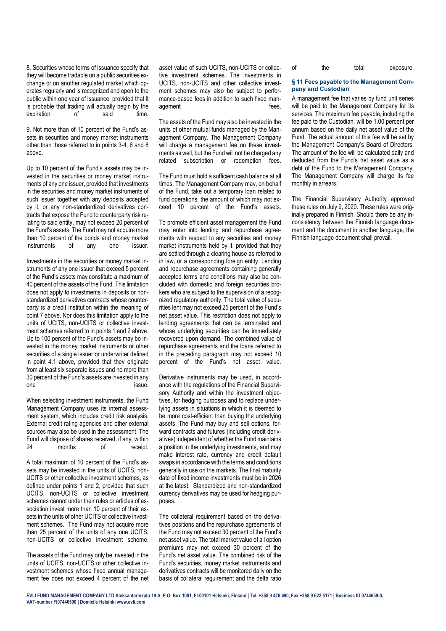8. Securities whose terms of issuance specify that they will become tradable on a public securities exchange or on another regulated market which operates regularly and is recognized and open to the public within one year of issuance, provided that it is probable that trading will actually begin by the expiration of said time.

9. Not more than of 10 percent of the Fund's assets in securities and money market instruments other than those referred to in points 3-4, 6 and 8 above.

Up to 10 percent of the Fund's assets may be invested in the securities or money market instruments of any one issuer, provided that investments in the securities and money market instruments of such issuer together with any deposits accepted by it, or any non-standardized derivatives contracts that expose the Fund to counterparty risk relating to said entity, may not exceed 20 percent of the Fund's assets. The Fund may not acquire more than 10 percent of the bonds and money market instruments of any one issuer.

Investments in the securities or money market instruments of any one issuer that exceed 5 percent of the Fund's assets may constitute a maximum of 40 percent of the assets of the Fund. This limitation does not apply to investments in deposits or nonstandardized derivatives contracts whose counterparty is a credit institution within the meaning of point 7 above. Nor does this limitation apply to the units of UCITS, non-UCITS or collective investment schemes referred to in points 1 and 2 above. Up to 100 percent of the Fund's assets may be invested in the money market instruments or other securities of a single issuer or underwriter defined in point 4.1 above, provided that they originate from at least six separate issues and no more than 30 percent of the Fund's assets are invested in any one issue.

When selecting investment instruments, the Fund Management Company uses its internal assessment system, which includes credit risk analysis. External credit rating agencies and other external sources may also be used in the assessment. The Fund will dispose of shares received, if any, within 24 months of receipt.

A total maximum of 10 percent of the Fund's assets may be invested in the units of UCITS, non-UCITS or other collective investment schemes, as defined under points 1 and 2, provided that such UCITS, non-UCITS or collective investment schemes cannot under their rules or articles of association invest more than 10 percent of their assets in the units of other UCITS or collective investment schemes. The Fund may not acquire more than 25 percent of the units of any one UCITS, non-UCITS or collective investment scheme.

The assets of the Fund may only be invested in the units of UCITS, non-UCITS or other collective investment schemes whose fixed annual management fee does not exceed 4 percent of the net asset value of such UCITS, non-UCITS or collective investment schemes. The investments in UCITS, non-UCITS and other collective investment schemes may also be subject to performance-based fees in addition to such fixed management fees.

The assets of the Fund may also be invested in the units of other mutual funds managed by the Management Company. The Management Company will charge a management fee on these investments as well, but the Fund will not be charged any related subscription or redemption fees.

The Fund must hold a sufficient cash balance at all times. The Management Company may, on behalf of the Fund, take out a temporary loan related to fund operations, the amount of which may not exceed 10 percent of the Fund's assets.

To promote efficient asset management the Fund may enter into lending and repurchase agreements with respect to any securities and money market instruments held by it, provided that they are settled through a clearing house as referred to in law, or a corresponding foreign entity. Lending and repurchase agreements containing generally accepted terms and conditions may also be concluded with domestic and foreign securities brokers who are subject to the supervision of a recognized regulatory authority. The total value of securities lent may not exceed 25 percent of the Fund's net asset value. This restriction does not apply to lending agreements that can be terminated and whose underlying securities can be immediately recovered upon demand. The combined value of repurchase agreements and the loans referred to in the preceding paragraph may not exceed 10 percent of the Fund's net asset value.

Derivative instruments may be used, in accordance with the regulations of the Financial Supervisory Authority and within the investment objectives, for hedging purposes and to replace underlying assets in situations in which it is deemed to be more cost-efficient than buying the underlying assets. The Fund may buy and sell options, forward contracts and futures (including credit derivatives) independent of whether the Fund maintains a position in the underlying investments, and may make interest rate, currency and credit default swaps in accordance with the terms and conditions generally in use on the markets. The final maturity date of fixed income investments must be in 2026 at the latest. Standardized and non-standardized currency derivatives may be used for hedging purposes.

The collateral requirement based on the derivatives positions and the repurchase agreements of the Fund may not exceed 30 percent of the Fund's net asset value. The total market value of all option premiums may not exceed 30 percent of the Fund's net asset value. The combined risk of the Fund's securities, money market instruments and derivatives contracts will be monitored daily on the basis of collateral requirement and the delta ratio

| οf | the | total | exposure. |
|----|-----|-------|-----------|
|    |     |       |           |

### **§ 11 Fees payable to the Management Company and Custodian**

A management fee that varies by fund unit series will be paid to the Management Company for its services. The maximum fee payable, including the fee paid to the Custodian, will be 1.00 percent per annum based on the daily net asset value of the Fund. The actual amount of this fee will be set by the Management Company's Board of Directors. The amount of the fee will be calculated daily and deducted from the Fund's net asset value as a debt of the Fund to the Management Company. The Management Company will charge its fee monthly in arrears.

The Financial Supervisory Authority approved these rules on July 9, 2020. These rules were originally prepared in Finnish. Should there be any inconsistency between the Finnish language document and the document in another language, the Finnish language document shall prevail.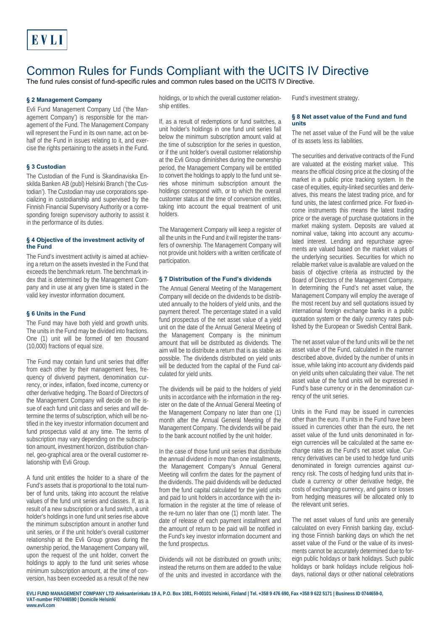# Common Rules for Funds Compliant with the UCITS IV Directive

The fund rules consist of fund-specific rules and common rules based on the UCITS IV Directive.

# **§ 2 Management Company**

Evli Fund Management Company Ltd ('the Management Company') is responsible for the management of the Fund. The Management Company will represent the Fund in its own name, act on behalf of the Fund in issues relating to it, and exercise the rights pertaining to the assets in the Fund.

## **§ 3 Custodian**

The Custodian of the Fund is Skandinaviska Enskilda Banken AB (publ) Helsinki Branch ('the Custodian'). The Custodian may use corporations specializing in custodianship and supervised by the Finnish Financial Supervisory Authority or a corresponding foreign supervisory authority to assist it in the performance of its duties.

#### **§ 4 Objective of the investment activity of the Fund**

The Fund's investment activity is aimed at achieving a return on the assets invested in the Fund that exceeds the benchmark return. The benchmark index that is determined by the Management Company and in use at any given time is stated in the valid key investor information document.

#### **§ 6 Units in the Fund**

The Fund may have both yield and growth units. The units in the Fund may be divided into fractions. One (1) unit will be formed of ten thousand (10,000) fractions of equal size.

The Fund may contain fund unit series that differ from each other by their management fees, frequency of divivend payment, denomination currency, or index, inflation, fixed income, currency or other derivative hedging. The Board of Directors of the Management Company will decide on the issue of each fund unit class and series and will determine the terms of subscription, which will be notified in the key investor information document and fund prospectus valid at any time. The terms of subscription may vary depending on the subscription amount, investment horizon, distribution channel, geo-graphical area or the overall customer relationship with Evli Group.

A fund unit entitles the holder to a share of the Fund's assets that is proportional to the total number of fund units, taking into account the relative values of the fund unit series and classes. If, as a result of a new subscription or a fund switch, a unit holder's holdings in one fund unit series rise above the minimum subscription amount in another fund unit series, or if the unit holder's overall customer relationship at the Evli Group grows during the ownership period, the Management Company will, upon the request of the unit holder, convert the holdings to apply to the fund unit series whose minimum subscription amount, at the time of conversion, has been exceeded as a result of the new

holdings, or to which the overall customer relationship entitles.

If, as a result of redemptions or fund switches, a unit holder's holdings in one fund unit series fall below the minimum subscription amount valid at the time of subscription for the series in question, or if the unit holder's overall customer relationship at the Evli Group diminishes during the ownership period, the Management Company will be entitled to convert the holdings to apply to the fund unit series whose minimum subscription amount the holdings correspond with, or to which the overall customer status at the time of conversion entitles, taking into account the equal treatment of unit holders.

The Management Company will keep a register of all the units in the Fund and it will register the transfers of ownership. The Management Company will not provide unit holders with a written certificate of participation.

#### **§ 7 Distribution of the Fund's dividends**

The Annual General Meeting of the Management Company will decide on the dividends to be distributed annually to the holders of yield units, and the payment thereof. The percentage stated in a valid fund prospectus of the net asset value of a yield unit on the date of the Annual General Meeting of the Management Company is the minimum amount that will be distributed as dividends. The aim will be to distribute a return that is as stable as possible. The dividends distributed on yield units will be deducted from the capital of the Fund calculated for yield units.

The dividends will be paid to the holders of yield units in accordance with the information in the register on the date of the Annual General Meeting of the Management Company no later than one (1) month after the Annual General Meeting of the Management Company. The dividends will be paid to the bank account notified by the unit holder.

In the case of those fund unit series that distribute the annual dividend in more than one installments, the Management Company's Annual General Meeting will confirm the dates for the payment of the dividends. The paid dividends will be deducted from the fund capital calculated for the yield units and paid to unit holders in accordance with the information in the register at the time of release of the re-turn no later than one (1) month later. The date of release of each payment installment and the amount of return to be paid will be notified in the Fund's key investor information document and the fund prospectus.

Dividends will not be distributed on growth units; instead the returns on them are added to the value of the units and invested in accordance with the Fund's investment strategy.

### **§ 8 Net asset value of the Fund and fund units**

The net asset value of the Fund will be the value of its assets less its liabilities.

The securities and derivative contracts of the Fund are valuated at the existing market value. This means the official closing price at the closing of the market in a public price tracking system. In the case of equities, equity-linked securities and derivatives, this means the latest trading price, and for fund units, the latest confirmed price. For fixed-income instruments this means the latest trading price or the average of purchase quotations in the market making system. Deposits are valued at nominal value, taking into account any accumulated interest. Lending and repurchase agreements are valued based on the market values of the underlying securities. Securities for which no reliable market value is available are valued on the basis of objective criteria as instructed by the Board of Directors of the Management Company. In determining the Fund's net asset value, the Management Company will employ the average of the most recent buy and sell quotations issued by international foreign exchange banks in a public quotation system or the daily currency rates published by the European or Swedish Central Bank.

The net asset value of the fund units will be the net asset value of the Fund, calculated in the manner described above, divided by the number of units in issue, while taking into account any dividends paid on yield units when calculating their value. The net asset value of the fund units will be expressed in Fund's base currency or in the denomination currency of the unit series.

Units in the Fund may be issued in currencies other than the euro. If units in the Fund have been issued in currencies other than the euro, the net asset value of the fund units denominated in foreign currencies will be calculated at the same exchange rates as the Fund's net asset value. Currency derivatives can be used to hedge fund units denominated in foreign currencies against currency risk. The costs of hedging fund units that include a currency or other derivative hedge, the costs of exchanging currency, and gains or losses from hedging measures will be allocated only to the relevant unit series.

The net asset values of fund units are generally calculated on every Finnish banking day, excluding those Finnish banking days on which the net asset value of the Fund or the value of its investments cannot be accurately determined due to foreign public holidays or bank holidays. Such public holidays or bank holidays include religious holidays, national days or other national celebrations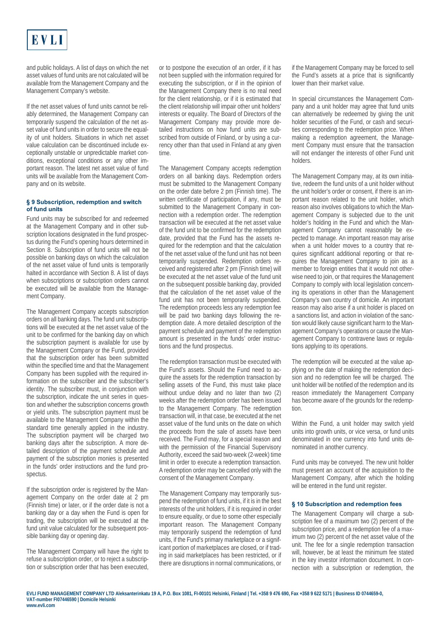

and public holidays. A list of days on which the net asset values of fund units are not calculated will be available from the Management Company and the Management Company's website.

If the net asset values of fund units cannot be reliably determined, the Management Company can temporarily suspend the calculation of the net asset value of fund units in order to secure the equality of unit holders. Situations in which net asset value calculation can be discontinued include exceptionally unstable or unpredictable market conditions, exceptional conditions or any other important reason. The latest net asset value of fund units will be available from the Management Company and on its website.

## **§ 9 Subscription, redemption and switch of fund units**

Fund units may be subscribed for and redeemed at the Management Company and in other subscription locations designated in the fund prospectus during the Fund's opening hours determined in Section 8. Subscription of fund units will not be possible on banking days on which the calculation of the net asset value of fund units is temporarily halted in accordance with Section 8. A list of days when subscriptions or subscription orders cannot be executed will be available from the Management Company.

The Management Company accepts subscription orders on all banking days. The fund unit subscriptions will be executed at the net asset value of the unit to be confirmed for the banking day on which the subscription payment is available for use by the Management Company or the Fund, provided that the subscription order has been submitted within the specified time and that the Management Company has been supplied with the required information on the subscriber and the subscriber's identity. The subscriber must, in conjunction with the subscription, indicate the unit series in question and whether the subscription concerns growth or yield units. The subscription payment must be available to the Management Company within the standard time generally applied in the industry. The subscription payment will be charged two banking days after the subscription. A more detailed description of the payment schedule and payment of the subscription monies is presented in the funds' order instructions and the fund prospectus.

If the subscription order is registered by the Management Company on the order date at 2 pm (Finnish time) or later, or if the order date is not a banking day or a day when the Fund is open for trading, the subscription will be executed at the fund unit value calculated for the subsequent possible banking day or opening day.

The Management Company will have the right to refuse a subscription order, or to reject a subscription or subscription order that has been executed,

or to postpone the execution of an order, if it has not been supplied with the information required for executing the subscription, or if in the opinion of the Management Company there is no real need for the client relationship, or if it is estimated that the client relationship will impair other unit holders' interests or equality. The Board of Directors of the Management Company may provide more detailed instructions on how fund units are subscribed from outside of Finland, or by using a currency other than that used in Finland at any given time.

The Management Company accepts redemption orders on all banking days. Redemption orders must be submitted to the Management Company on the order date before 2 pm (Finnish time). The written certificate of participation, if any, must be submitted to the Management Company in connection with a redemption order. The redemption transaction will be executed at the net asset value of the fund unit to be confirmed for the redemption date, provided that the Fund has the assets required for the redemption and that the calculation of the net asset value of the fund unit has not been temporarily suspended. Redemption orders received and registered after 2 pm (Finnish time) will be executed at the net asset value of the fund unit on the subsequent possible banking day, provided that the calculation of the net asset value of the fund unit has not been temporarily suspended. The redemption proceeds less any redemption fee will be paid two banking days following the redemption date. A more detailed description of the payment schedule and payment of the redemption amount is presented in the funds' order instructions and the fund prospectus.

The redemption transaction must be executed with the Fund's assets. Should the Fund need to acquire the assets for the redemption transaction by selling assets of the Fund, this must take place without undue delay and no later than two (2) weeks after the redemption order has been issued to the Management Company. The redemption transaction will, in that case, be executed at the net asset value of the fund units on the date on which the proceeds from the sale of assets have been received. The Fund may, for a special reason and with the permission of the Financial Supervisory Authority, exceed the said two-week (2-week) time limit in order to execute a redemption transaction. A redemption order may be cancelled only with the consent of the Management Company.

The Management Company may temporarily suspend the redemption of fund units, if it is in the best interests of the unit holders, if it is required in order to ensure equality, or due to some other especially important reason. The Management Company may temporarily suspend the redemption of fund units, if the Fund's primary marketplace or a significant portion of marketplaces are closed, or if trading in said marketplaces has been restricted, or if there are disruptions in normal communications, or if the Management Company may be forced to sell the Fund's assets at a price that is significantly lower than their market value.

In special circumstances the Management Company and a unit holder may agree that fund units can alternatively be redeemed by giving the unit holder securities of the Fund, or cash and securities corresponding to the redemption price. When making a redemption agreement, the Management Company must ensure that the transaction will not endanger the interests of other Fund unit holders.

The Management Company may, at its own initiative, redeem the fund units of a unit holder without the unit holder's order or consent, if there is an important reason related to the unit holder, which reason also involves obligations to which the Management Company is subjected due to the unit holder's holding in the Fund and which the Management Company cannot reasonably be expected to manage. An important reason may arise when a unit holder moves to a country that requires significant additional reporting or that requires the Management Company to join as a member to foreign entities that it would not otherwise need to join, or that requires the Management Company to comply with local legislation concerning its operations in other than the Management Company's own country of domicile. An important reason may also arise if a unit holder is placed on a sanctions list, and action in violation of the sanction would likely cause significant harm to the Management Company's operations or cause the Management Company to contravene laws or regulations applying to its operations.

The redemption will be executed at the value applying on the date of making the redemption decision and no redemption fee will be charged. The unit holder will be notified of the redemption and its reason immediately the Management Company has become aware of the grounds for the redemption.

Within the Fund, a unit holder may switch yield units into growth units, or vice versa, or fund units denominated in one currency into fund units denominated in another currency.

Fund units may be conveyed. The new unit holder must present an account of the acquisition to the Management Company, after which the holding will be entered in the fund unit register.

## **§ 10 Subscription and redemption fees**

The Management Company will charge a subscription fee of a maximum two (2) percent of the subscription price, and a redemption fee of a maximum two (2) percent of the net asset value of the unit. The fee for a single redemption transaction will, however, be at least the minimum fee stated in the key investor information document. In connection with a subscription or redemption, the